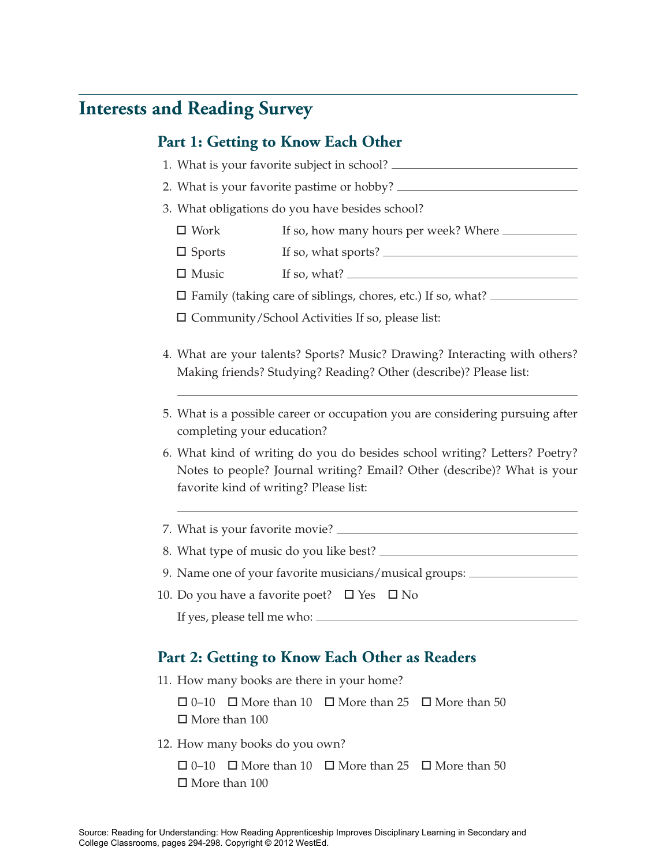## **Interests and Reading Survey**

## **Part 1: Getting to Know Each Other**

- 1. What is your favorite subject in school?
- 2. What is your favorite pastime or hobby?
- 3. What obligations do you have besides school?
	- $\Box$  Work Work If so, how many hours per week? Where
	- $\Box$  Sports Sports If so, what sports?
	- $\Box$  Music If so, what?  $\frac{1}{\sqrt{1-\frac{1}{2}}\sqrt{1-\frac{1}{2}}\left\vert \frac{1}{2}+1\right\vert }$

□ Family (taking care of siblings, chores, etc.) If so, what?

□ Community/School Activities If so, please list:

- 4. What are your talents? Sports? Music? Drawing? Interacting with others? Making friends? Studying? Reading? Other (describe)? Please list:
- 5. What is a possible career or occupation you are considering pursuing after completing your education?
- 6. What kind of writing do you do besides school writing? Letters? Poetry? Notes to people? Journal writing? Email? Other (describe)? What is your favorite kind of writing? Please list:
- 7. What is your favorite movie?
- 8. What type of music do you like best?
- 9. Name one of your favorite musicians/musical groups:
- 10. Do you have a favorite poet?  $\Box$  Yes  $\Box$  No If yes, please tell me who:

## **Part 2: Getting to Know Each Other as Readers**

11. How many books are there in your home?

 $\Box$  0–10  $\Box$  More than 10  $\Box$  More than 25  $\Box$  More than 50 □ More than 100

12. How many books do you own?

 $\Box$  0–10  $\Box$  More than 10  $\Box$  More than 25  $\Box$  More than 50 □ More than 100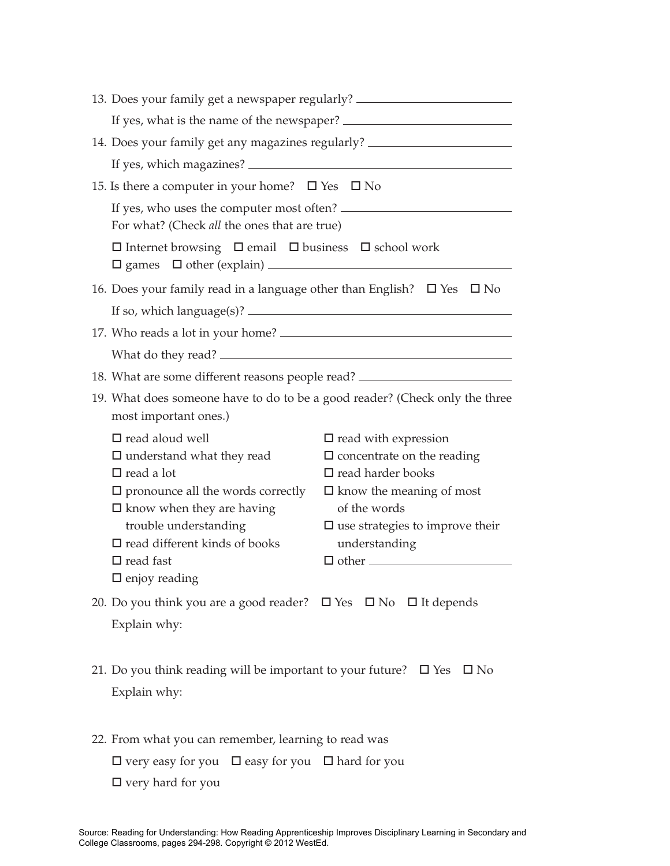| 13. Does your family get a newspaper regularly? ________________________________                                                                                                                                                                                                               |                                                                                                                                                                                                                        |  |
|------------------------------------------------------------------------------------------------------------------------------------------------------------------------------------------------------------------------------------------------------------------------------------------------|------------------------------------------------------------------------------------------------------------------------------------------------------------------------------------------------------------------------|--|
| If yes, what is the name of the newspaper?                                                                                                                                                                                                                                                     |                                                                                                                                                                                                                        |  |
| 14. Does your family get any magazines regularly? ______________________________                                                                                                                                                                                                               |                                                                                                                                                                                                                        |  |
|                                                                                                                                                                                                                                                                                                |                                                                                                                                                                                                                        |  |
| 15. Is there a computer in your home? $\square$ Yes $\square$ No                                                                                                                                                                                                                               |                                                                                                                                                                                                                        |  |
| If yes, who uses the computer most often?<br>For what? (Check all the ones that are true)                                                                                                                                                                                                      |                                                                                                                                                                                                                        |  |
| $\square$ Internet browsing $\square$ email $\square$ business $\square$ school work                                                                                                                                                                                                           |                                                                                                                                                                                                                        |  |
| 16. Does your family read in a language other than English? $\Box$ Yes $\Box$ No                                                                                                                                                                                                               |                                                                                                                                                                                                                        |  |
|                                                                                                                                                                                                                                                                                                |                                                                                                                                                                                                                        |  |
|                                                                                                                                                                                                                                                                                                |                                                                                                                                                                                                                        |  |
|                                                                                                                                                                                                                                                                                                |                                                                                                                                                                                                                        |  |
| 18. What are some different reasons people read? _______________________________                                                                                                                                                                                                               |                                                                                                                                                                                                                        |  |
| 19. What does someone have to do to be a good reader? (Check only the three<br>most important ones.)                                                                                                                                                                                           |                                                                                                                                                                                                                        |  |
| $\square$ read aloud well<br>$\square$ understand what they read<br>$\Box$ read a lot<br>$\square$ pronounce all the words correctly<br>$\square$ know when they are having<br>trouble understanding<br>$\square$ read different kinds of books<br>$\Box$ read fast<br>$\square$ enjoy reading | $\square$ read with expression<br>$\square$ concentrate on the reading<br>$\square$ read harder books<br>$\Box$ know the meaning of most<br>of the words<br>$\square$ use strategies to improve their<br>understanding |  |
| 20. Do you think you are a good reader? $\Box$ Yes $\Box$ No $\Box$ It depends<br>Explain why:                                                                                                                                                                                                 |                                                                                                                                                                                                                        |  |
| 21. Do you think reading will be important to your future? $\Box$ Yes $\Box$ No<br>Explain why:                                                                                                                                                                                                |                                                                                                                                                                                                                        |  |
| 22. From what you can remember, learning to read was<br>$\Box$ very easy for you $\Box$ easy for you $\Box$ hard for you<br>$\Box$ very hard for you                                                                                                                                           |                                                                                                                                                                                                                        |  |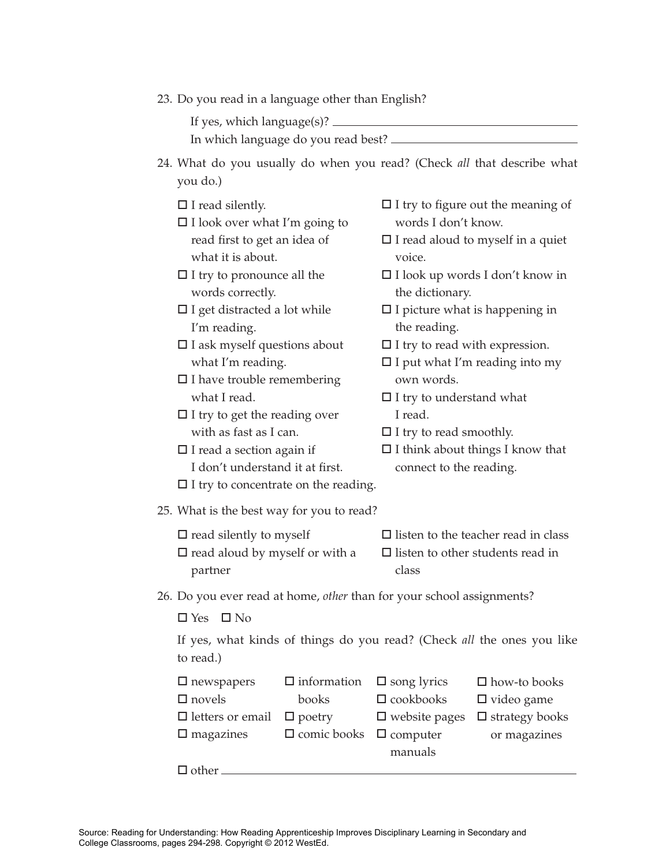| 23. Do you read in a language other than English? |  |  |  |
|---------------------------------------------------|--|--|--|
|                                                   |  |  |  |

If yes, which language(s)?

In which language do you read best?

- 24. What do you usually do when you read? (Check *all* that describe what you do.)
	- □ I read silently.
	- □ I look over what I'm going to read first to get an idea of what it is about.
	- $\Box$  I try to pronounce all the words correctly.
	- $\square$  I get distracted a lot while I'm reading.
	- □ I ask myself questions about what I'm reading.
	- □ I have trouble remembering what I read.
	- $\Box$  I try to get the reading over with as fast as I can.
	- □ I read a section again if I don't understand it at first.
	- $\square$  I try to concentrate on the reading.
- $\square$  I try to figure out the meaning of words I don't know.
- $\square$  I read aloud to myself in a quiet voice.
- I look up words I don't know in the dictionary.
- $\square$  I picture what is happening in the reading.
- □ I try to read with expression.
- $\square$  I put what I'm reading into my own words.
- $\square$  I try to understand what I read.
- $\Box$  I try to read smoothly.
- $\square$  I think about things I know that connect to the reading.
- 25. What is the best way for you to read?
	- $\square$  read silently to myself  $\square$  read aloud by myself or with a partner class
- $\square$  listen to the teacher read in class  $\square$  listen to other students read in
	-
- 26. Do you ever read at home, *other* than for your school assignments?

 $\Box$  Yes  $\Box$  No

If yes, what kinds of things do you read? (Check *all* the ones you like to read.)

| $\Box$ newspapers       | $\Box$ information $\Box$ song lyrics |                         | $\Box$ how-to books   |
|-------------------------|---------------------------------------|-------------------------|-----------------------|
| $\square$ novels        | books                                 | $\square$ cookbooks     | $\Box$ video game     |
| $\Box$ letters or email | $\Box$ poetry                         | $\square$ website pages | $\Box$ strategy books |
| $\Box$ magazines        | $\Box$ comic books $\Box$ computer    |                         | or magazines          |
|                         |                                       | manuals                 |                       |
| $\Box$ other            |                                       |                         |                       |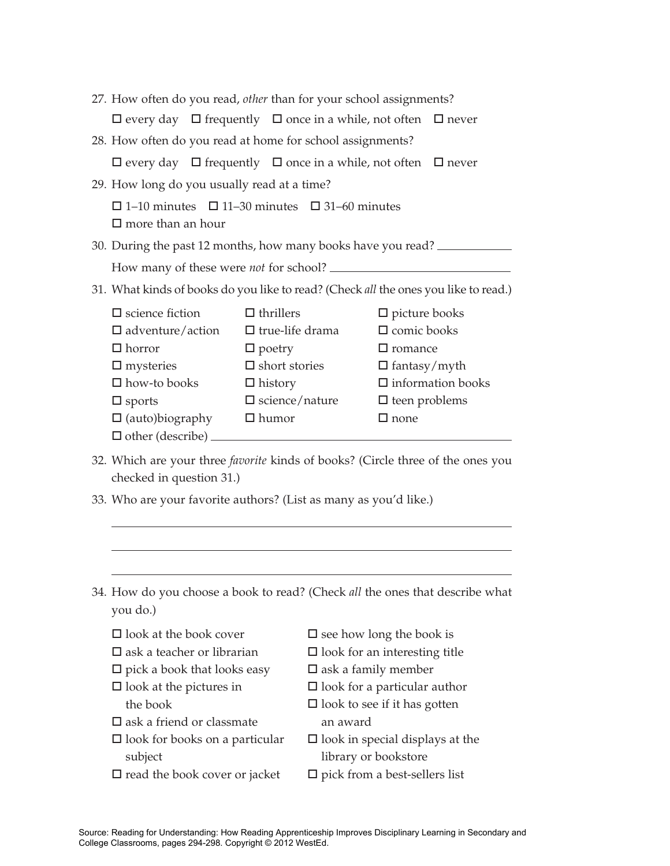| 27. How often do you read, other than for your school assignments?                                                                                                                                                                                                                                                                                                                                                                                                                                           |                                                                                              |                                                                                   |  |  |
|--------------------------------------------------------------------------------------------------------------------------------------------------------------------------------------------------------------------------------------------------------------------------------------------------------------------------------------------------------------------------------------------------------------------------------------------------------------------------------------------------------------|----------------------------------------------------------------------------------------------|-----------------------------------------------------------------------------------|--|--|
|                                                                                                                                                                                                                                                                                                                                                                                                                                                                                                              |                                                                                              | $\Box$ every day $\Box$ frequently $\Box$ once in a while, not often $\Box$ never |  |  |
|                                                                                                                                                                                                                                                                                                                                                                                                                                                                                                              | 28. How often do you read at home for school assignments?                                    |                                                                                   |  |  |
|                                                                                                                                                                                                                                                                                                                                                                                                                                                                                                              |                                                                                              | $\Box$ every day $\Box$ frequently $\Box$ once in a while, not often $\Box$ never |  |  |
|                                                                                                                                                                                                                                                                                                                                                                                                                                                                                                              | 29. How long do you usually read at a time?                                                  |                                                                                   |  |  |
|                                                                                                                                                                                                                                                                                                                                                                                                                                                                                                              | $\Box$ 1–10 minutes $\Box$ 11–30 minutes $\Box$ 31–60 minutes<br>$\square$ more than an hour |                                                                                   |  |  |
|                                                                                                                                                                                                                                                                                                                                                                                                                                                                                                              | 30. During the past 12 months, how many books have you read?                                 |                                                                                   |  |  |
|                                                                                                                                                                                                                                                                                                                                                                                                                                                                                                              | How many of these were <i>not</i> for school?                                                |                                                                                   |  |  |
| 31. What kinds of books do you like to read? (Check all the ones you like to read.)                                                                                                                                                                                                                                                                                                                                                                                                                          |                                                                                              |                                                                                   |  |  |
| $\Box$ science fiction<br>$\Box$ thrillers<br>$\Box$ picture books<br>$\Box$ true-life drama<br>$\Box$ comic books<br>$\square$ adventure/action<br>$\Box$ horror<br>$\Box$ romance<br>$\Box$ poetry<br>$\Box$ short stories<br>$\Box$ fantasy/myth<br>$\Box$ mysteries<br>$\Box$ information books<br>$\square$ how-to books<br>$\Box$ history<br>$\Box$ science/nature<br>$\Box$ teen problems<br>$\Box$ sports<br>$\Box$ (auto)biography<br>$\Box$ humor<br>$\Box$ none<br>$\Box$ other (describe) $\_\_$ |                                                                                              |                                                                                   |  |  |

- 32. Which are your three *favorite* kinds of books? (Circle three of the ones you checked in question 31.)
- 33. Who are your favorite authors? (List as many as you'd like.)
- 34. How do you choose a book to read? (Check *all* the ones that describe what you do.)
	- □ look at the book cover □ ask a teacher or librarian
	- $\square$  pick a book that looks easy
	- $\square$  look at the pictures in the book
	- □ ask a friend or classmate
	- □ look for books on a particular subject
	- □ read the book cover or jacket
- $\square$  see how long the book is
- □ look for an interesting title
- □ ask a family member
- □ look for a particular author
- $\square$  look to see if it has gotten an award
- $\square$  look in special displays at the library or bookstore
- □ pick from a best-sellers list